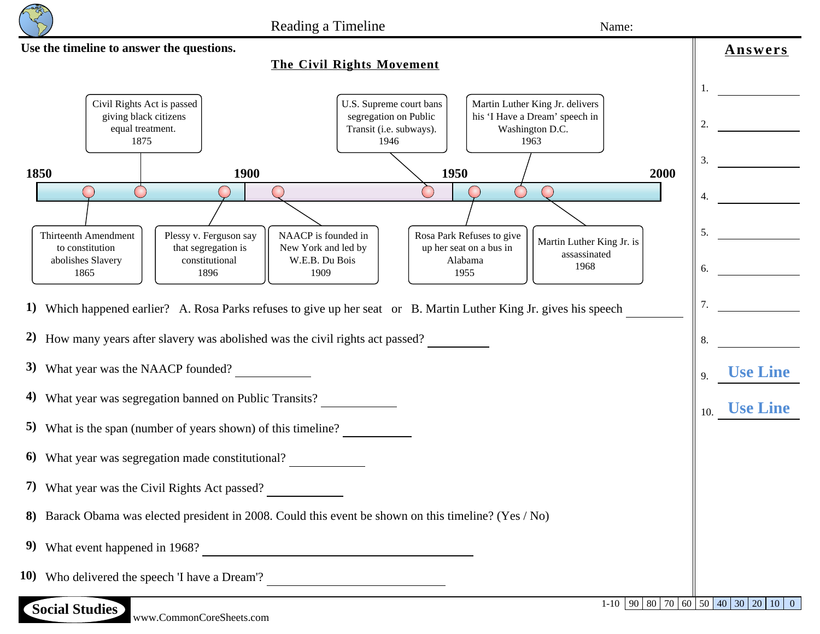

**Use the timeline to answer the questions. AnswersThe Civil Rights Movement**  $1.$ Martin Luther King Jr. delivers Civil Rights Act is passed U.S. Supreme court bans giving black citizens segregation on Public his 'I Have a Dream' speech in 2. **10** equal treatment. Transit (i.e. subways). Washington D.C. 1875 1946 1963 3. **1909 1850 1900 1950 2000** 4. **1946**  $\bigcirc$ 5. **150** Thirteenth Amendment Plessy v. Ferguson say NAACP is founded in Rosa Park Refuses to give Martin Luther King Jr. is to constitution that segregation is New York and led by up her seat on a bus in assassinated abolishes Slavery constitutional W.E.B. Du Bois Alabama 6. **1896** 1968 1865 1896 1909 1955 7. **1875** 1) Which happened earlier? A. Rosa Parks refuses to give up her seat or B. Martin Luther King Jr. gives his speech 8. **No 2)** How many years after slavery was abolished was the civil rights act passed? **3**) What year was the NAACP founded? 9. **Use Line 4)** What year was segregation banned on Public Transits? 10. **Use Line 5)** What is the span (number of years shown) of this timeline? **6)** What year was segregation made constitutional? **7)** What year was the Civil Rights Act passed? **8)** Barack Obama was elected president in 2008. Could this event be shown on this timeline? (Yes / No) **9**) What event happened in 1968? **10)** Who delivered the speech 'I have a Dream'?

 $1-10$  90 80 70 60 50 40 30 20 10 0